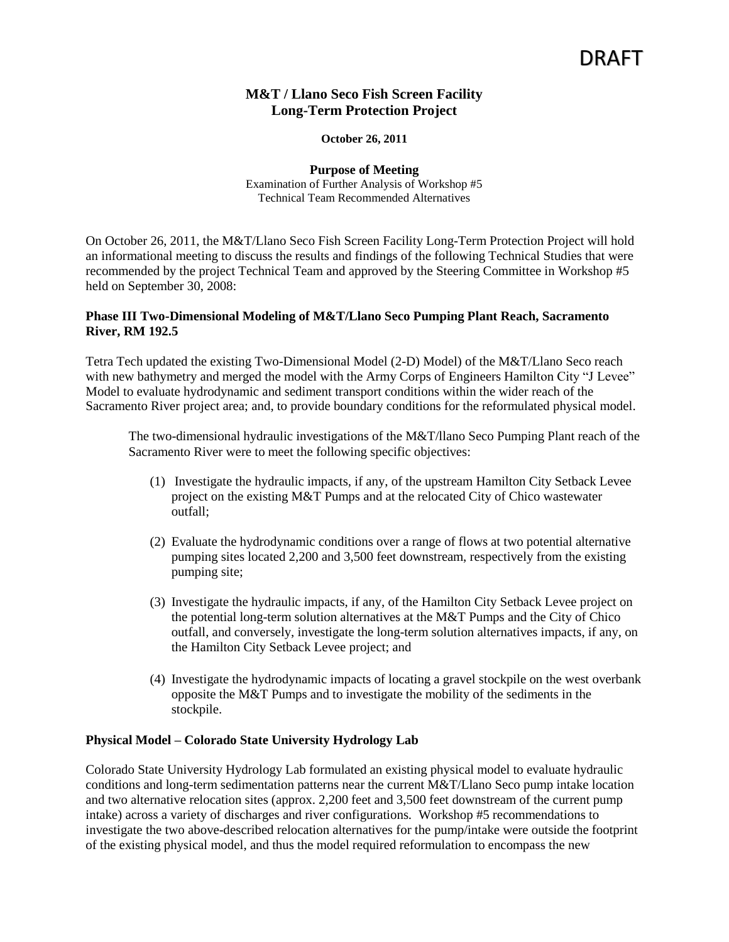# **M&T / Llano Seco Fish Screen Facility Long-Term Protection Project**

#### **October 26, 2011**

**Purpose of Meeting** Examination of Further Analysis of Workshop #5 Technical Team Recommended Alternatives

On October 26, 2011, the M&T/Llano Seco Fish Screen Facility Long-Term Protection Project will hold an informational meeting to discuss the results and findings of the following Technical Studies that were recommended by the project Technical Team and approved by the Steering Committee in Workshop #5 held on September 30, 2008:

### **Phase III Two-Dimensional Modeling of M&T/Llano Seco Pumping Plant Reach, Sacramento River, RM 192.5**

Tetra Tech updated the existing Two-Dimensional Model (2-D) Model) of the M&T/Llano Seco reach with new bathymetry and merged the model with the Army Corps of Engineers Hamilton City "J Levee" Model to evaluate hydrodynamic and sediment transport conditions within the wider reach of the Sacramento River project area; and, to provide boundary conditions for the reformulated physical model.

The two-dimensional hydraulic investigations of the M&T/llano Seco Pumping Plant reach of the Sacramento River were to meet the following specific objectives:

- (1) Investigate the hydraulic impacts, if any, of the upstream Hamilton City Setback Levee project on the existing M&T Pumps and at the relocated City of Chico wastewater outfall;
- (2) Evaluate the hydrodynamic conditions over a range of flows at two potential alternative pumping sites located 2,200 and 3,500 feet downstream, respectively from the existing pumping site;
- (3) Investigate the hydraulic impacts, if any, of the Hamilton City Setback Levee project on the potential long-term solution alternatives at the M&T Pumps and the City of Chico outfall, and conversely, investigate the long-term solution alternatives impacts, if any, on the Hamilton City Setback Levee project; and
- (4) Investigate the hydrodynamic impacts of locating a gravel stockpile on the west overbank opposite the M&T Pumps and to investigate the mobility of the sediments in the stockpile.

### **Physical Model – Colorado State University Hydrology Lab**

Colorado State University Hydrology Lab formulated an existing physical model to evaluate hydraulic conditions and long-term sedimentation patterns near the current M&T/Llano Seco pump intake location and two alternative relocation sites (approx. 2,200 feet and 3,500 feet downstream of the current pump intake) across a variety of discharges and river configurations. Workshop #5 recommendations to investigate the two above-described relocation alternatives for the pump/intake were outside the footprint of the existing physical model, and thus the model required reformulation to encompass the new